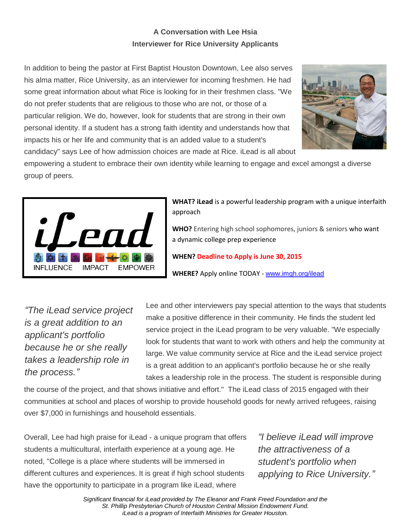## **A Conversation with Lee Hsia Interviewer for Rice University Applicants**

In addition to being the pastor at First Baptist Houston Downtown, Lee also serves his alma matter, Rice University, as an interviewer for incoming freshmen. He had some great information about what Rice is looking for in their freshmen class. "We do not prefer students that are religious to those who are not, or those of a particular religion. We do, however, look for students that are strong in their own personal identity. If a student has a strong faith identity and understands how that impacts his or her life and community that is an added value to a student's candidacy" says Lee of how admission choices are made at Rice. iLead is all about



empowering a student to embrace their own identity while learning to engage and excel amongst a diverse group of peers.



**WHAT? iLead** is a powerful leadership program with a unique interfaith approach

**WHO?** Entering high school sophomores, juniors & seniors who want a dynamic college prep experience

**WHEN? Deadline to Apply is June 30, 2015**

**WHERE?** Apply online TODAY - [www.imgh.org/ilead](http://r20.rs6.net/tn.jsp?e=001uB-rA5uFQ-NvKk-AktIuiiDiKTq7-ltzwlVUNYC1zaCqc84NutPMVr_a0MMdRgUndCArZHtK0S1n7C0s42RPGyEa39OvQlsS1M_HR1yjwAI=)

*"The iLead service project is a great addition to an applicant's portfolio because he or she really takes a leadership role in the process."*

Lee and other interviewers pay special attention to the ways that students make a positive difference in their community. He finds the student led service project in the iLead program to be very valuable. "We especially look for students that want to work with others and help the community at large. We value community service at Rice and the iLead service project is a great addition to an applicant's portfolio because he or she really takes a leadership role in the process. The student is responsible during

the course of the project, and that shows initiative and effort." The iLead class of 2015 engaged with their communities at school and places of worship to provide household goods for newly arrived refugees, raising over \$7,000 in furnishings and household essentials.

Overall, Lee had high praise for iLead - a unique program that offers students a multicultural, interfaith experience at a young age. He noted, "College is a place where students will be immersed in different cultures and experiences. It is great if high school students have the opportunity to participate in a program like iLead, where

*"I believe iLead will improve the attractiveness of a student's portfolio when applying to Rice University."*

*Significant financial for iLead provided by The Eleanor and Frank Freed Foundation and the St. Phillip Presbyterian Church of Houston Central Mission Endowment Fund. iLead is a program of Interfaith Ministries for Greater Houston.*